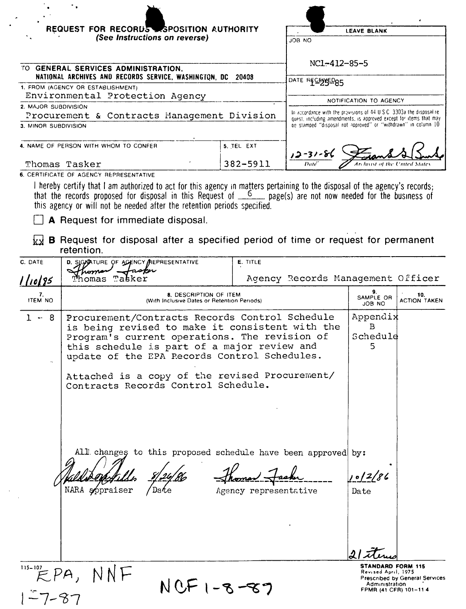|                             | REQUEST FOR RECORDS SPOSITION AUTHORITY                                                                                                                                                                                                                                                                                                                                |                       |                                                                                                                                                                                                               | <b>LEAVE BLANK</b>             |                            |
|-----------------------------|------------------------------------------------------------------------------------------------------------------------------------------------------------------------------------------------------------------------------------------------------------------------------------------------------------------------------------------------------------------------|-----------------------|---------------------------------------------------------------------------------------------------------------------------------------------------------------------------------------------------------------|--------------------------------|----------------------------|
|                             | (See Instructions on reverse)                                                                                                                                                                                                                                                                                                                                          |                       | JOB NO                                                                                                                                                                                                        |                                |                            |
|                             | TO GENERAL SERVICES ADMINISTRATION,<br>NATIONAL ARCHIVES AND RECORDS SERVICE, WASHINGTON, DC 20408                                                                                                                                                                                                                                                                     |                       | NC1-412-85-5                                                                                                                                                                                                  |                                |                            |
|                             | 1. FROM (AGENCY OR ESTABLISHMENT)                                                                                                                                                                                                                                                                                                                                      |                       | DATE RECENSED85                                                                                                                                                                                               |                                |                            |
| 2. MAJOR SUBDIVISION        | Environmental Protection Agency                                                                                                                                                                                                                                                                                                                                        |                       |                                                                                                                                                                                                               | NOTIFICATION TO AGENCY         |                            |
| 3. MINOR SUBDIVISION        | Procurement & Contracts Management Division                                                                                                                                                                                                                                                                                                                            |                       | In accordance with the provisions of 44 U.S.C. 3303a the disposal re-<br>quest, including amendments, is approved except for items that may<br>be stamped "disposal not approved" or "withdrawn" in column 10 |                                |                            |
|                             | 4. NAME OF PERSON WITH WHOM TO CONFER                                                                                                                                                                                                                                                                                                                                  | 5. TEL EXT            | $12 - 31 - 80$                                                                                                                                                                                                |                                |                            |
|                             | Thomas Tasker<br>6. CERTIFICATE OF AGENCY REPRESENTATIVE                                                                                                                                                                                                                                                                                                               | 382-5911              |                                                                                                                                                                                                               |                                |                            |
|                             | I hereby certify that I am authorized to act for this agency in matters pertaining to the disposal of the agency's records;<br>that the records proposed for disposal in this Request of $\frac{6}{2}$ page(s) are not now needed for the business of<br>this agency or will not be needed after the retention periods specified.<br>A Request for immediate disposal. |                       |                                                                                                                                                                                                               |                                |                            |
| kx                          | <b>B</b> Request for disposal after a specified period of time or request for permanent<br>retention.                                                                                                                                                                                                                                                                  |                       |                                                                                                                                                                                                               |                                |                            |
| C. DATE<br><u>    10/85</u> | D. SIGNATURE OF AGENCY PREPRESENTATIVE<br>Joma<br>Thomas<br>Tabker                                                                                                                                                                                                                                                                                                     | E. TITLE              | Agency Records Management Officer                                                                                                                                                                             |                                |                            |
| 7.<br>ITEM NO               | 8. DESCRIPTION OF ITEM<br>(With Inclusive Dates or Retention Periods)                                                                                                                                                                                                                                                                                                  |                       |                                                                                                                                                                                                               | SAMPLE OR<br>JOB NO            | 10.<br><b>ACTION TAKEN</b> |
| - 8<br>$1 -$                | Procurement/Contracts Records Control Schedule<br>is being revised to make it consistent with the<br>Program's current operations. The revision of<br>this schedule is part of a major review and<br>update of the EPA Records Control Schedules.<br>Attached is a copy of the revised Procurement/<br>Contracts Records Control Schedule.                             |                       |                                                                                                                                                                                                               | Appendix<br>В<br>Schedule<br>5 |                            |
|                             | All changes to this proposed schedule have been approved by:<br>NARA appraiser                                                                                                                                                                                                                                                                                         | Agency representative |                                                                                                                                                                                                               | 10/2/86<br>Date                |                            |
|                             |                                                                                                                                                                                                                                                                                                                                                                        |                       |                                                                                                                                                                                                               |                                |                            |

 $NCF1 - 8 - 87$ 

**STANDARD FORM 115**<br> **Revised April, 1975**<br>
Prescribed by General Services<br>
Administration<br>
FPMR (41 CFR) 101-11 4

 $\begin{array}{c}\n\overbrace{\text{115--107}}\text{PPA},\text{NNF}\n\end{array}$  $1 - 7 - 87$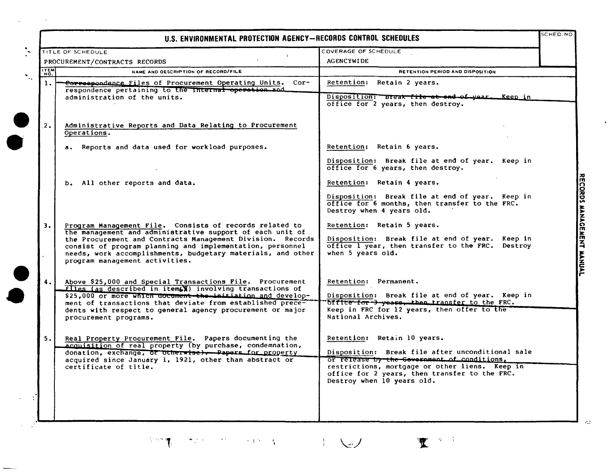|                | TITLE OF SCHEDULE                                                                                                                                                                                                                                                                                                                                | COVERAGE OF SCHEDULE                                                                                                                                                                                                                                            |  |
|----------------|--------------------------------------------------------------------------------------------------------------------------------------------------------------------------------------------------------------------------------------------------------------------------------------------------------------------------------------------------|-----------------------------------------------------------------------------------------------------------------------------------------------------------------------------------------------------------------------------------------------------------------|--|
|                | PROCUREMENT/CONTRACTS RECORDS                                                                                                                                                                                                                                                                                                                    | <b>AGENCYWIDE</b>                                                                                                                                                                                                                                               |  |
| <b>TTEM</b>    | NAME AND OESCRIPTION OF RECORD/FILE                                                                                                                                                                                                                                                                                                              | RETENTION PERIOD AND DISPOSITION                                                                                                                                                                                                                                |  |
| $\mathbf{1}$ . | Correspondance Files of Procurement Operating Units. Cor-<br>respondence pertaining to the internal operation and<br>administration of the units.                                                                                                                                                                                                | Retention: Retain 2 years.<br>Disposition: Break file at and of year. Keep in<br>office for 2 years, then destroy.                                                                                                                                              |  |
| 2.             | Administrative Reports and Data Relating to Procurement<br>Operations.                                                                                                                                                                                                                                                                           |                                                                                                                                                                                                                                                                 |  |
|                | a. Reports and data used for workload purposes.                                                                                                                                                                                                                                                                                                  | Retention: Retain 6 years.<br>Disposition: Break file at end of year. Keep in<br>office for 6 years, then destroy.                                                                                                                                              |  |
|                | b. All other reports and data.                                                                                                                                                                                                                                                                                                                   | Retention: Retain 4 years.<br>Disposition: Break file at end of year. Keep in<br>office for 6 months, then transfer to the FRC.<br>Destroy when 4 years old.                                                                                                    |  |
| 3.             | Program Management File. Consists of records related to<br>the management and administrative support of each unit of<br>the Procurement and Contracts Management Division. Records<br>consist of program planning and implementation, personnel<br>needs, work accomplishments, budgetary materials, and other<br>program management activities. | Retention: Retain 5 years.<br>Disposition: Break file at end of year. Keep in<br>office I year, then transfer to the FRC. Destroy<br>when 5 years old.                                                                                                          |  |
| 4. !           | Above \$25,000 and Special Transactions File. Procurement<br>files (as described in item(X) involving transactions of<br>\$25,000 or more which document the initiation and develop-<br>ment of transactions that deviate from established prece-<br>dents with respect to general agency procurement or major<br>procurement programs.          | Retention: Permanent.<br>Disposition: Break file at end of year. Keep in<br>office for 3 years, then transfer to the FRC.<br>Keep in FRC for 12 years, then offer to the<br>National Archives.                                                                  |  |
| 5.             | Real Property Procurement File. Papers documenting the<br>acquisition of real property (by purchase, condemnation,<br>donation, exchange, or otherwise). Papers for property<br>acquired since January 1, 1921, other than abstract or<br>certificate of title.                                                                                  | Retention: Retain 10 years.<br>Disposition: Break file after unconditional sale<br>or release by the Government of conditions,<br>restrictions, mortgage or other liens. Keep in<br>office for 2 years, then transfer to the FRC.<br>Destroy when 10 years old. |  |

. In the set of the set of the set of the set of the set of the set of the set of the set of the set of the set of the set of the set of the set of the set of the set of the set of the set of the set of the set of the set

 $\mathcal{L}^{\mathcal{L}}(\mathcal{L}^{\mathcal{L}})$  and  $\mathcal{L}^{\mathcal{L}}(\mathcal{L}^{\mathcal{L}})$  and  $\mathcal{L}^{\mathcal{L}}(\mathcal{L}^{\mathcal{L}})$ 

 $\epsilon$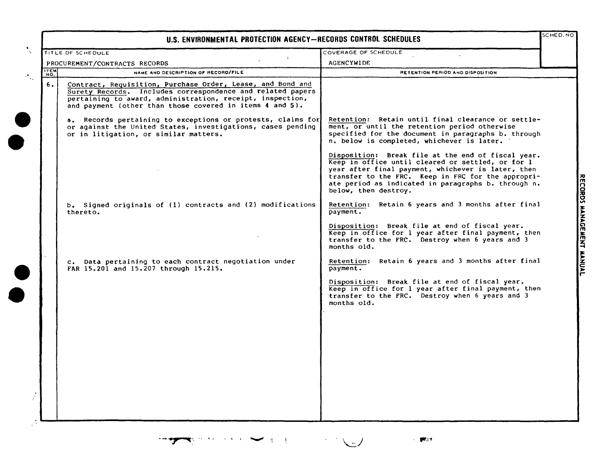|             | U.S. ENVIRONMENTAL PROTECTION AGENCY-RECORDS CONTROL SCHEDULES                                                                                                                                                                                    |                                                                                                                                                                                                                                                                                                    |  |
|-------------|---------------------------------------------------------------------------------------------------------------------------------------------------------------------------------------------------------------------------------------------------|----------------------------------------------------------------------------------------------------------------------------------------------------------------------------------------------------------------------------------------------------------------------------------------------------|--|
|             | <b>TITLE OF SCHEDULE</b>                                                                                                                                                                                                                          | COVERAGE OF SCHEDULE                                                                                                                                                                                                                                                                               |  |
|             | PROCUREMENT/CONTRACTS RECORDS                                                                                                                                                                                                                     | <b>AGENCYWIDE</b>                                                                                                                                                                                                                                                                                  |  |
| <b>ITEM</b> | NAME AND DESCRIPTION OF RECORD/FILE                                                                                                                                                                                                               | RETENTION PERIOD AND DISPOSITION                                                                                                                                                                                                                                                                   |  |
| 6.          | Contract, Requisition, Purchase Order, Lease, and Bond and<br>Surety Records. Includes correspondence and related papers<br>pertaining to award, administration, receipt, inspection,<br>and payment (other than those covered in items 4 and 5). |                                                                                                                                                                                                                                                                                                    |  |
|             | a. Records pertaining to exceptions or protests, claims for<br>or against the United States, investigations, cases pending<br>or in litigation, or similar matters.                                                                               | Retention: Retain until final clearance or settle-<br>ment, or until the retention period otherwise<br>specified for the document in paragraphs b. through<br>n. below is completed, whichever is later.                                                                                           |  |
|             |                                                                                                                                                                                                                                                   | Disposition: Break file at the end of fiscal year.<br>Keep in office until cleared or settled, or for 1<br>year after final payment, whichever is later, then<br>transfer to the FRC. Keep in FRC for the appropri-<br>ate period as indicated in paragraphs b. through n.<br>below, then destroy. |  |
|             | b. Signed originals of (1) contracts and (2) modifications<br>thereto.                                                                                                                                                                            | Retention: Retain 6 years and 3 months after final<br>payment.                                                                                                                                                                                                                                     |  |
|             |                                                                                                                                                                                                                                                   | Disposition: Break file at end of fiscal year.<br>Keep in office for 1 year after final payment, then<br>transfer to the FRC. Destroy when 6 years and 3<br>months old.                                                                                                                            |  |
|             | c. Data pertaining to each contract negotiation under<br>FAR 15.201 and 15.207 through 15.215.                                                                                                                                                    | Retention: Retain 6 years and 3 months after final<br>payment.                                                                                                                                                                                                                                     |  |
|             |                                                                                                                                                                                                                                                   | Disposition: Break file at end of fiscal year.<br>Keep in office for 1 year after final payment, then<br>transfer to the FRC. Destroy when 6 years and 3<br>months old.                                                                                                                            |  |
|             |                                                                                                                                                                                                                                                   |                                                                                                                                                                                                                                                                                                    |  |
|             |                                                                                                                                                                                                                                                   |                                                                                                                                                                                                                                                                                                    |  |
|             |                                                                                                                                                                                                                                                   |                                                                                                                                                                                                                                                                                                    |  |
|             |                                                                                                                                                                                                                                                   |                                                                                                                                                                                                                                                                                                    |  |
|             |                                                                                                                                                                                                                                                   |                                                                                                                                                                                                                                                                                                    |  |

....~ ....' "

 $\sim$  1000  $\pm$ 

**KACEMEN** IN<br>E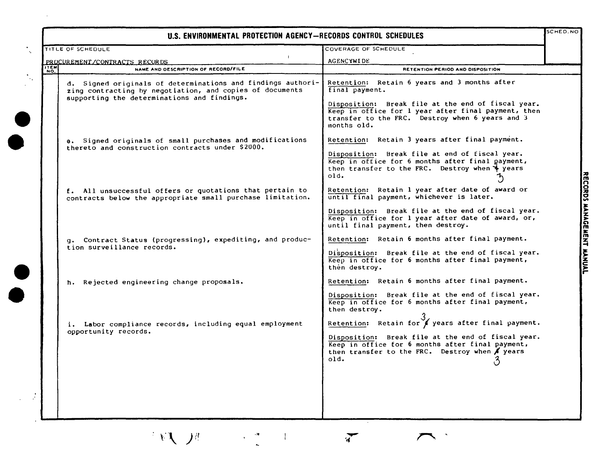## **U.S. ENVIRONMENTAL PROTECTION AGENCY-RECORDS CONTROL SCHEDULES**

| PROCUREMENT/CONTRACTS RECORDS<br>NAME AND DESCRIPTION OF RECORD/FILE<br>NO.                                                                                            | <b>AGENCYWIDE</b><br>RETENTION PERIOD AND DISPOSITION                                                                                                                                                                                         |  |
|------------------------------------------------------------------------------------------------------------------------------------------------------------------------|-----------------------------------------------------------------------------------------------------------------------------------------------------------------------------------------------------------------------------------------------|--|
| d. Signed originals of determinations and findings authori-<br>zing contracting by negotiation, and copies of documents<br>supporting the determinations and findings. | Retention: Retain 6 years and 3 months after<br>final payment.<br>Disposition: Break file at the end of fiscal year.<br>Keep in office for 1 year after final payment, then<br>transfer to the FRC. Destroy when 6 years and 3<br>months old. |  |
| e. Signed originals of small purchases and modifications<br>thereto and construction contracts under \$2000.                                                           | Retention: Retain 3 years after final payment.<br>Disposition: Break file at end of fiscal year.<br>Keep in office for 6 months after final payment,<br>then transfer to the FRC. Destroy when $\frac{1}{2}$ years<br>old.                    |  |
| f. All unsuccessful offers or quotations that pertain to<br>contracts below the appropriate small purchase limitation.                                                 | Retention: Retain 1 year after date of award or<br>until final payment, whichever is later.<br>Disposition: Break file at the end of fiscal year.<br>Keep in office for 1 year after date of award, or,                                       |  |
| g. Contract Status (progressing), expediting, and produc-<br>tion surveillance records.                                                                                | until final payment, then destroy.<br>Retention: Retain 6 months after final payment.<br>Disposition: Break file at the end of fiscal year.<br>Keep in office for 6 months after final payment,<br>then destroy.                              |  |
| h. Rejected engineering change proposals.                                                                                                                              | Retention: Retain 6 months after final payment.<br>Disposition: Break file at the end of fiscal year.<br>Keep in office for 6 months after final payment,<br>then destroy.                                                                    |  |
| i. Labor compliance records, including equal employment<br>opportunity records.                                                                                        | Retention: Retain for / years after final payment.<br>Disposition: Break file at the end of fiscal year.<br>Keep in office for 6 months after final payment,<br>then transfer to the FRC. Destroy when / years<br>old.                        |  |
|                                                                                                                                                                        |                                                                                                                                                                                                                                               |  |

 $\sum$ 

n<br>CC ~ % ~ r-

主题 20

 $\begin{array}{c} \begin{array}{c} \mathbf{0} \\ \mathbf{0} \end{array} & \begin{array}{c} \mathbf{0} \\ \mathbf{0} \end{array} & \begin{array}{c} \mathbf{0} \\ \mathbf{0} \end{array} & \begin{array}{c} \mathbf{0} \\ \mathbf{0} \end{array} & \begin{array}{c} \mathbf{0} \\ \mathbf{0} \end{array} & \begin{array}{c} \mathbf{0} \\ \mathbf{0} \end{array} & \begin{array}{c} \mathbf{0} \\ \mathbf{0} \end{array} & \begin{array}{c} \mathbf{0} \\ \mathbf{0} \end{array} & \begin{array}{$ 

**•** 

**•**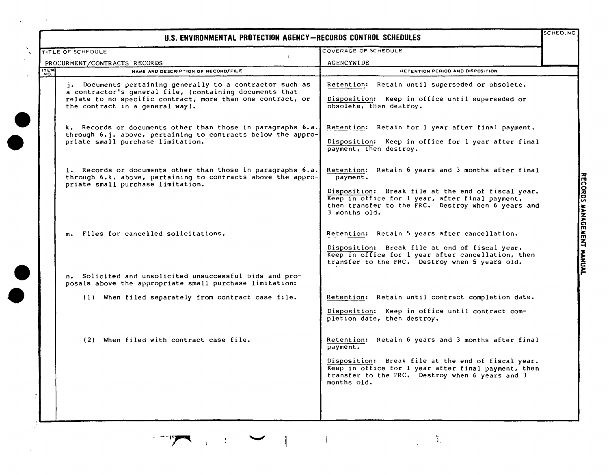## U.S. **ENVIRONMENTAL PROTECTION AGENCY -RECORDS CONTROL SCHEDULES**

**•**<br>•

 $\ddot{\phantom{a}}$ 

-

**•**<br>•

**•** 

**•** 

|             | TITLE OF SCHEDULE                                                                                                                                                                                                     | COVERAGE OF SCHEDULE                                                                                                                                                                                                                           |  |
|-------------|-----------------------------------------------------------------------------------------------------------------------------------------------------------------------------------------------------------------------|------------------------------------------------------------------------------------------------------------------------------------------------------------------------------------------------------------------------------------------------|--|
|             | $\blacksquare$<br>PROCURMENT/CONTRACTS RECORDS                                                                                                                                                                        | <b>AGENCYWIDE</b>                                                                                                                                                                                                                              |  |
| <b>ITEM</b> | NAME AND DESCRIPTION OF RECORD/FILE                                                                                                                                                                                   | RETENTION PERIOD AND DISPOSITION                                                                                                                                                                                                               |  |
|             | j. Documents pertaining generally to a contractor such as<br>a contractor's general file, (containing documents that<br>relate to no specific contract, more than one contract, or<br>the contract in a general way). | Retention: Retain until superseded or obsolete.<br>Disposition: Keep in office until superseded or<br>obsolete, then destroy.                                                                                                                  |  |
|             | k. Records or documents other than those in paragraphs 6.a.<br>through 6.j. above, pertaining to contracts below the appro-<br>priate small purchase limitation.                                                      | Retention: Retain for 1 year after final payment.<br>Disposition: Keep in office for 1 year after final<br>payment, then destroy.                                                                                                              |  |
|             | 1. Records or documents other than those in paragraphs 6.a.<br>through 6.k. above, pertaining to contracts above the appro-<br>priate small purchase limitation.                                                      | Retention: Retain 6 years and 3 months after final<br>payment.<br>Disposition: Break file at the end of fiscal year.<br>Keep in office for 1 year, after final payment,<br>then transfer to the FRC. Destroy when 6 years and<br>3 months old. |  |
|             | m. Files for cancelled solicitations.                                                                                                                                                                                 | Retention: Retain 5 years after cancellation.<br>Disposition: Break file at end of fiscal year.<br>Keep in office for 1 year after cancellation, then<br>transfer to the FRC. Destroy when 5 years old.                                        |  |
|             | n. Solicited and unsolicited unsuccessful bids and pro-<br>posals above the appropriate small purchase limitation:                                                                                                    |                                                                                                                                                                                                                                                |  |
|             | (1) When filed separately from contract case file.                                                                                                                                                                    | Retention: Retain until contract completion date.<br>Disposition: Keep in office until contract com-<br>pletion date, then destroy.                                                                                                            |  |
|             | (2) When filed with contract case file.                                                                                                                                                                               | Retention: Retain 6 years and 3 months after final<br>payment.<br>Disposition: Break file at the end of fiscal year.<br>Keep in office for 1 year after final payment, then<br>transfer to the FRC. Destroy when 6 years and 3<br>months old.  |  |
|             |                                                                                                                                                                                                                       |                                                                                                                                                                                                                                                |  |

SCHED.NC